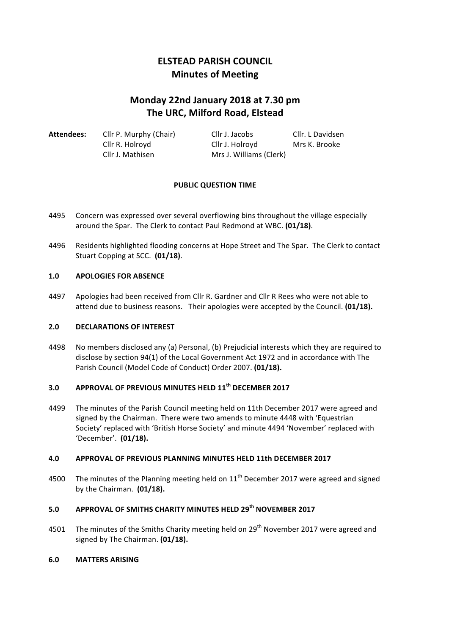# **ELSTEAD PARISH COUNCIL Minutes of Meeting**

# **Monday 22nd January 2018 at 7.30 pm The URC, Milford Road, Elstead**

| Attendees: | Cllr P. Murphy (Chair) | Cllr J. Jacobs          | Cllr. L Davidsen |
|------------|------------------------|-------------------------|------------------|
|            | Cllr R. Holroyd        | Cllr J. Holroyd         | Mrs K. Brooke    |
|            | Cllr J. Mathisen       | Mrs J. Williams (Clerk) |                  |

### **PUBLIC QUESTION TIME**

- 4495 Concern was expressed over several overflowing bins throughout the village especially around the Spar. The Clerk to contact Paul Redmond at WBC. (01/18).
- 4496 Residents highlighted flooding concerns at Hope Street and The Spar. The Clerk to contact Stuart Copping at SCC. (01/18).

### **1.0 APOLOGIES FOR ABSENCE**

4497 Apologies had been received from Cllr R. Gardner and Cllr R Rees who were not able to attend due to business reasons. Their apologies were accepted by the Council. **(01/18).** 

## **2.0 DECLARATIONS OF INTEREST**

4498 No members disclosed any (a) Personal, (b) Prejudicial interests which they are required to disclose by section 94(1) of the Local Government Act 1972 and in accordance with The Parish Council (Model Code of Conduct) Order 2007. **(01/18).** 

# **3.0 APPROVAL OF PREVIOUS MINUTES HELD 11th DECEMBER 2017**

4499 The minutes of the Parish Council meeting held on 11th December 2017 were agreed and signed by the Chairman. There were two amends to minute 4448 with 'Equestrian Society' replaced with 'British Horse Society' and minute 4494 'November' replaced with 'December'. **(01/18).**

### **4.0 APPROVAL OF PREVIOUS PLANNING MINUTES HELD 11th DECEMBER 2017**

4500 The minutes of the Planning meeting held on  $11<sup>th</sup>$  December 2017 were agreed and signed by the Chairman. **(01/18).** 

# **5.0 APPROVAL OF SMITHS CHARITY MINUTES HELD 29th NOVEMBER 2017**

4501 The minutes of the Smiths Charity meeting held on  $29<sup>th</sup>$  November 2017 were agreed and signed by The Chairman. (01/18).

#### **6.0 MATTERS ARISING**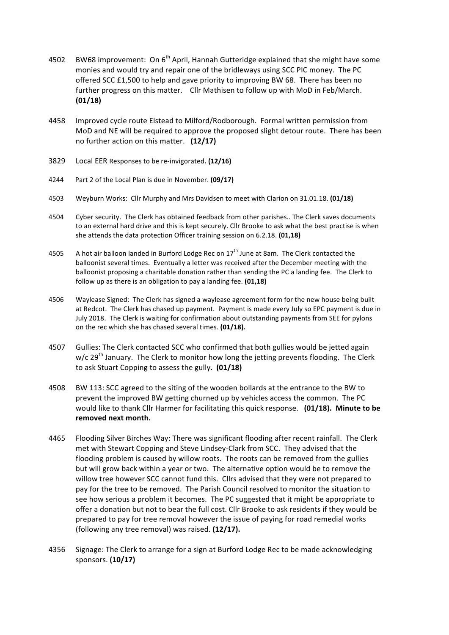- 4502 BW68 improvement: On  $6<sup>th</sup>$  April, Hannah Gutteridge explained that she might have some monies and would try and repair one of the bridleways using SCC PIC money. The PC offered  $SCC$  £1,500 to help and gave priority to improving BW 68. There has been no further progress on this matter. Cllr Mathisen to follow up with MoD in Feb/March. **(01/18)**
- 4458 Improved cycle route Elstead to Milford/Rodborough. Formal written permission from MoD and NE will be required to approve the proposed slight detour route. There has been no further action on this matter. (12/17)
- 3829 Local EER Responses to be re-invigorated. (12/16)
- 4244 Part 2 of the Local Plan is due in November. (09/17)
- 4503 Weyburn Works: Cllr Murphy and Mrs Davidsen to meet with Clarion on 31.01.18. (01/18)
- 4504 Cyber security. The Clerk has obtained feedback from other parishes.. The Clerk saves documents to an external hard drive and this is kept securely. Cllr Brooke to ask what the best practise is when she attends the data protection Officer training session on 6.2.18. **(01,18)**
- 4505 A hot air balloon landed in Burford Lodge Rec on  $17<sup>th</sup>$  June at 8am. The Clerk contacted the balloonist several times. Eventually a letter was received after the December meeting with the balloonist proposing a charitable donation rather than sending the PC a landing fee. The Clerk to follow up as there is an obligation to pay a landing fee. (01,18)
- 4506 Waylease Signed: The Clerk has signed a waylease agreement form for the new house being built at Redcot. The Clerk has chased up payment. Payment is made every July so EPC payment is due in July 2018. The Clerk is waiting for confirmation about outstanding payments from SEE for pylons on the rec which she has chased several times. **(01/18).**
- 4507 Gullies: The Clerk contacted SCC who confirmed that both gullies would be jetted again  $w/c$  29<sup>th</sup> January. The Clerk to monitor how long the jetting prevents flooding. The Clerk to ask Stuart Copping to assess the gully. **(01/18)**
- 4508 BW 113: SCC agreed to the siting of the wooden bollards at the entrance to the BW to prevent the improved BW getting churned up by vehicles access the common. The PC would like to thank Cllr Harmer for facilitating this quick response. (01/18). Minute to be removed next month.
- 4465 Flooding Silver Birches Way: There was significant flooding after recent rainfall. The Clerk met with Stewart Copping and Steve Lindsey-Clark from SCC. They advised that the flooding problem is caused by willow roots. The roots can be removed from the gullies but will grow back within a year or two. The alternative option would be to remove the willow tree however SCC cannot fund this. Cllrs advised that they were not prepared to pay for the tree to be removed. The Parish Council resolved to monitor the situation to see how serious a problem it becomes. The PC suggested that it might be appropriate to offer a donation but not to bear the full cost. Cllr Brooke to ask residents if they would be prepared to pay for tree removal however the issue of paying for road remedial works (following any tree removal) was raised. (12/17).
- 4356 Signage: The Clerk to arrange for a sign at Burford Lodge Rec to be made acknowledging sponsors. **(10/17)**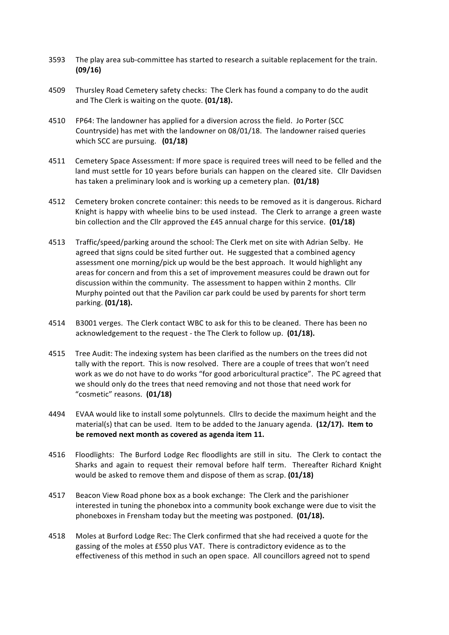- 3593 The play area sub-committee has started to research a suitable replacement for the train. **(09/16)**
- 4509 Thursley Road Cemetery safety checks: The Clerk has found a company to do the audit and The Clerk is waiting on the quote. **(01/18).**
- 4510 FP64: The landowner has applied for a diversion across the field. Jo Porter (SCC Countryside) has met with the landowner on 08/01/18. The landowner raised queries which SCC are pursuing. **(01/18)**
- 4511 Cemetery Space Assessment: If more space is required trees will need to be felled and the land must settle for 10 years before burials can happen on the cleared site. Cllr Davidsen has taken a preliminary look and is working up a cemetery plan. **(01/18)**
- 4512 Cemetery broken concrete container: this needs to be removed as it is dangerous. Richard Knight is happy with wheelie bins to be used instead. The Clerk to arrange a green waste bin collection and the Cllr approved the £45 annual charge for this service. **(01/18)**
- 4513 Traffic/speed/parking around the school: The Clerk met on site with Adrian Selby. He agreed that signs could be sited further out. He suggested that a combined agency assessment one morning/pick up would be the best approach. It would highlight any areas for concern and from this a set of improvement measures could be drawn out for discussion within the community. The assessment to happen within 2 months. Cllr Murphy pointed out that the Pavilion car park could be used by parents for short term parking. **(01/18).**
- 4514 B3001 verges. The Clerk contact WBC to ask for this to be cleaned. There has been no acknowledgement to the request - the The Clerk to follow up. (01/18).
- 4515 Tree Audit: The indexing system has been clarified as the numbers on the trees did not tally with the report. This is now resolved. There are a couple of trees that won't need work as we do not have to do works "for good arboricultural practice". The PC agreed that we should only do the trees that need removing and not those that need work for "cosmetic" reasons. **(01/18)**
- 4494 EVAA would like to install some polytunnels. Cllrs to decide the maximum height and the material(s) that can be used. Item to be added to the January agenda. (12/17). Item to be removed next month as covered as agenda item 11.
- 4516 Floodlights: The Burford Lodge Rec floodlights are still in situ. The Clerk to contact the Sharks and again to request their removal before half term. Thereafter Richard Knight would be asked to remove them and dispose of them as scrap. **(01/18)**
- 4517 Beacon View Road phone box as a book exchange: The Clerk and the parishioner interested in tuning the phonebox into a community book exchange were due to visit the phoneboxes in Frensham today but the meeting was postponed. **(01/18).**
- 4518 Moles at Burford Lodge Rec: The Clerk confirmed that she had received a quote for the gassing of the moles at £550 plus VAT. There is contradictory evidence as to the effectiveness of this method in such an open space. All councillors agreed not to spend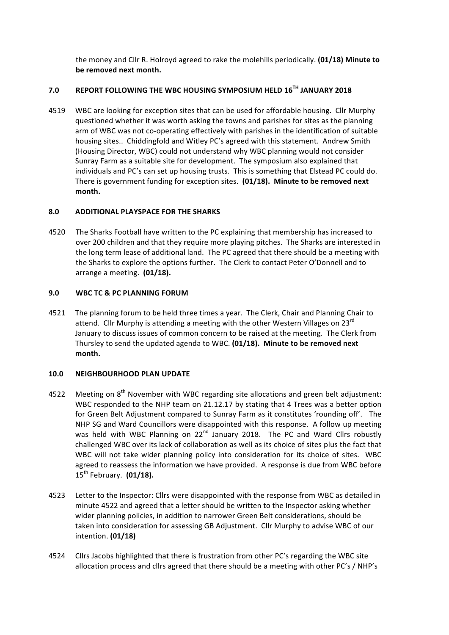the money and Cllr R. Holroyd agreed to rake the molehills periodically. (01/18) Minute to **be removed next month.** 

# **7.0 REPORT FOLLOWING THE WBC HOUSING SYMPOSIUM HELD 16TH JANUARY 2018**

4519 WBC are looking for exception sites that can be used for affordable housing. Cllr Murphy questioned whether it was worth asking the towns and parishes for sites as the planning arm of WBC was not co-operating effectively with parishes in the identification of suitable housing sites.. Chiddingfold and Witley PC's agreed with this statement. Andrew Smith (Housing Director, WBC) could not understand why WBC planning would not consider Sunray Farm as a suitable site for development. The symposium also explained that individuals and PC's can set up housing trusts. This is something that Elstead PC could do. There is government funding for exception sites. (01/18). Minute to be removed next **month.**

### **8.0 ADDITIONAL PLAYSPACE FOR THE SHARKS**

4520 The Sharks Football have written to the PC explaining that membership has increased to over 200 children and that they require more playing pitches. The Sharks are interested in the long term lease of additional land. The PC agreed that there should be a meeting with the Sharks to explore the options further. The Clerk to contact Peter O'Donnell and to arrange a meeting. (01/18).

# **9.0 WBC TC & PC PLANNING FORUM**

4521 The planning forum to be held three times a year. The Clerk, Chair and Planning Chair to attend. Cllr Murphy is attending a meeting with the other Western Villages on 23 $^{\text{rd}}$ January to discuss issues of common concern to be raised at the meeting. The Clerk from Thursley to send the updated agenda to WBC. (01/18). Minute to be removed next **month.**

### **10.0 NEIGHBOURHOOD PLAN UPDATE**

- 4522 Meeting on  $8<sup>th</sup>$  November with WBC regarding site allocations and green belt adjustment: WBC responded to the NHP team on 21.12.17 by stating that 4 Trees was a better option for Green Belt Adjustment compared to Sunray Farm as it constitutes 'rounding off'. The NHP SG and Ward Councillors were disappointed with this response. A follow up meeting was held with WBC Planning on  $22^{nd}$  January 2018. The PC and Ward Cllrs robustly challenged WBC over its lack of collaboration as well as its choice of sites plus the fact that WBC will not take wider planning policy into consideration for its choice of sites. WBC agreed to reassess the information we have provided. A response is due from WBC before 15<sup>th</sup> February. (01/18).
- 4523 Letter to the Inspector: Cllrs were disappointed with the response from WBC as detailed in minute 4522 and agreed that a letter should be written to the Inspector asking whether wider planning policies, in addition to narrower Green Belt considerations, should be taken into consideration for assessing GB Adjustment. Cllr Murphy to advise WBC of our intention. **(01/18)**
- 4524 Cllrs Jacobs highlighted that there is frustration from other PC's regarding the WBC site allocation process and cllrs agreed that there should be a meeting with other PC's / NHP's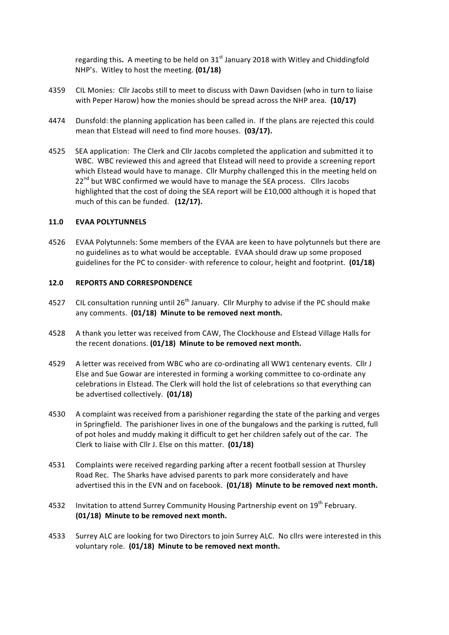regarding this. A meeting to be held on 31<sup>st</sup> January 2018 with Witley and Chiddingfold NHP's. Witley to host the meeting. (01/18)

- 4359 CIL Monies: Cllr Jacobs still to meet to discuss with Dawn Davidsen (who in turn to liaise with Peper Harow) how the monies should be spread across the NHP area. (10/17)
- 4474 Dunsfold: the planning application has been called in. If the plans are rejected this could mean that Elstead will need to find more houses. (03/17).
- 4525 SEA application: The Clerk and Cllr Jacobs completed the application and submitted it to WBC. WBC reviewed this and agreed that Elstead will need to provide a screening report which Elstead would have to manage. Cllr Murphy challenged this in the meeting held on  $22<sup>nd</sup>$  but WBC confirmed we would have to manage the SEA process. Cllrs Jacobs highlighted that the cost of doing the SEA report will be  $£10,000$  although it is hoped that much of this can be funded. (12/17).

### **11.0 EVAA POLYTUNNELS**

4526 EVAA Polytunnels: Some members of the EVAA are keen to have polytunnels but there are no guidelines as to what would be acceptable. EVAA should draw up some proposed guidelines for the PC to consider- with reference to colour, height and footprint. **(01/18)** 

#### **12.0 REPORTS AND CORRESPONDENCE**

- 4527 CIL consultation running until  $26<sup>th</sup>$  January. Cllr Murphy to advise if the PC should make any comments. (01/18) Minute to be removed next month.
- 4528 A thank you letter was received from CAW, The Clockhouse and Elstead Village Halls for the recent donations. **(01/18)** Minute to be removed next month.
- 4529 A letter was received from WBC who are co-ordinating all WW1 centenary events. Cllr J Else and Sue Gowar are interested in forming a working committee to co-ordinate any celebrations in Elstead. The Clerk will hold the list of celebrations so that everything can be advertised collectively. (01/18)
- 4530 A complaint was received from a parishioner regarding the state of the parking and verges in Springfield. The parishioner lives in one of the bungalows and the parking is rutted, full of pot holes and muddy making it difficult to get her children safely out of the car. The Clerk to liaise with Cllr J. Else on this matter. (01/18)
- 4531 Complaints were received regarding parking after a recent football session at Thursley Road Rec. The Sharks have advised parents to park more considerately and have advertised this in the EVN and on facebook. (01/18) Minute to be removed next month.
- 4532 Invitation to attend Surrey Community Housing Partnership event on 19<sup>th</sup> February. **(01/18)** Minute to be removed next month.
- 4533 Surrey ALC are looking for two Directors to join Surrey ALC. No cllrs were interested in this voluntary role. (01/18) Minute to be removed next month.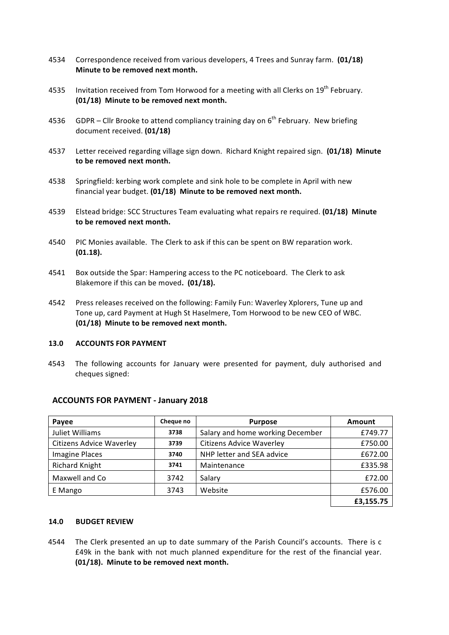- 4534 Correspondence received from various developers, 4 Trees and Sunray farm. (01/18) **Minute to be removed next month.**
- 4535 Invitation received from Tom Horwood for a meeting with all Clerks on 19<sup>th</sup> February. **(01/18)** Minute to be removed next month.
- 4536 GDPR Cllr Brooke to attend compliancy training day on  $6^{th}$  February. New briefing document received. **(01/18)**
- 4537 Letter received regarding village sign down. Richard Knight repaired sign. (01/18) Minute to be removed next month.
- 4538 Springfield: kerbing work complete and sink hole to be complete in April with new financial year budget. (01/18) Minute to be removed next month.
- 4539 Elstead bridge: SCC Structures Team evaluating what repairs re required. **(01/18) Minute** to be removed next month.
- 4540 PIC Monies available. The Clerk to ask if this can be spent on BW reparation work. **(01.18).**
- 4541 Box outside the Spar: Hampering access to the PC noticeboard. The Clerk to ask Blakemore if this can be moved. (01/18).
- 4542 Press releases received on the following: Family Fun: Waverley Xplorers, Tune up and Tone up, card Payment at Hugh St Haselmere, Tom Horwood to be new CEO of WBC. **(01/18)** Minute to be removed next month.

#### **13.0 ACCOUNTS FOR PAYMENT**

4543 The following accounts for January were presented for payment, duly authorised and cheques signed:

| Payee                           | Cheque no | <b>Purpose</b>                   | <b>Amount</b> |
|---------------------------------|-----------|----------------------------------|---------------|
| Juliet Williams                 | 3738      | Salary and home working December | £749.77       |
| <b>Citizens Advice Waverley</b> | 3739      | <b>Citizens Advice Waverley</b>  | £750.00       |
| <b>Imagine Places</b>           | 3740      | NHP letter and SEA advice        | £672.00       |
| <b>Richard Knight</b>           | 3741      | Maintenance                      | £335.98       |
| Maxwell and Co                  | 3742      | Salary                           | £72.00        |
| E Mango                         | 3743      | Website                          | £576.00       |
|                                 |           |                                  | £3,155.75     |

### **ACCOUNTS FOR PAYMENT - January 2018**

#### **14.0 BUDGET REVIEW**

4544 The Clerk presented an up to date summary of the Parish Council's accounts. There is c  $£49k$  in the bank with not much planned expenditure for the rest of the financial year. **(01/18).** Minute to be removed next month.